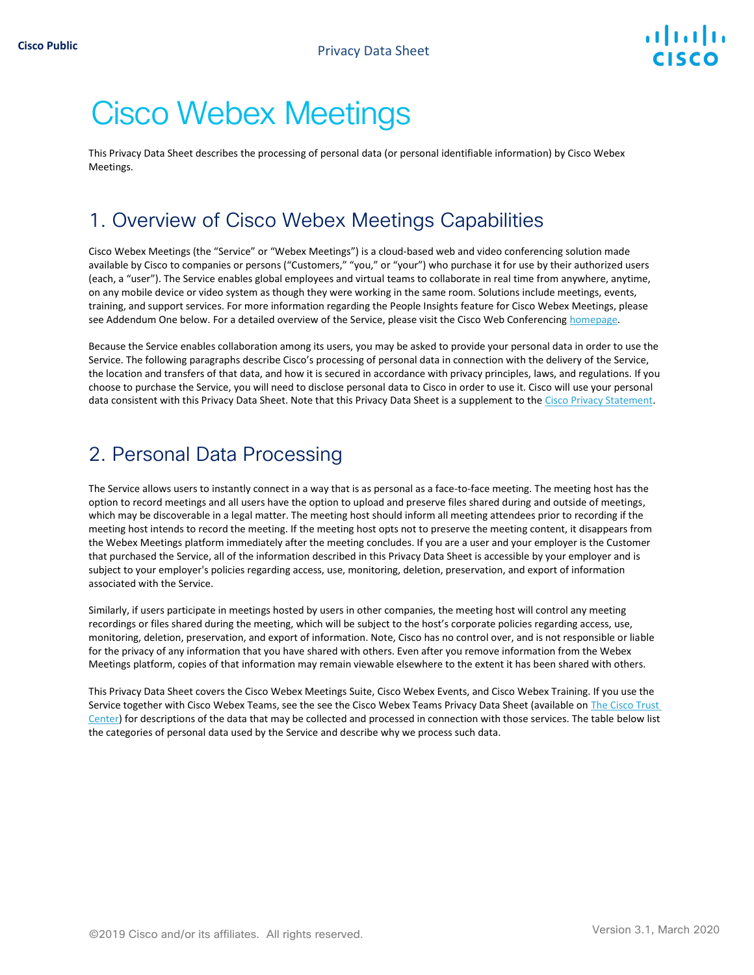# Cisco Webex Meetings

This Privacy Data Sheet describes the processing of personal data (or personal identifiable information) by Cisco Webex Meetings.

# 1. Overview of Cisco Webex Meetings Capabilities

Cisco Webex Meetings (the "Service" or "Webex Meetings") is a cloud-based web and video conferencing solution made available by Cisco to companies or persons ("Customers," "you," or "your") who purchase it for use by their authorized users (each, a "user"). The Service enables global employees and virtual teams to collaborate in real time from anywhere, anytime, on any mobile device or video system as though they were working in the same room. Solutions include meetings, events, training, and support services. For more information regarding the People Insights feature for Cisco Webex Meetings, please see Addendum One below. For a detailed overview of the Service, please visit the Cisco Web Conferencing homepage.

Because the Service enables collaboration among its users, you may be asked to provide your personal data in order to use the Service. The following paragraphs describe Cisco's processing of personal data in connection with the delivery of the Service, the location and transfers of that data, and how it is secured in accordance with privacy principles, laws, and regulations. If you choose to purchase the Service, you will need to disclose personal data to Cisco in order to use it. Cisco will use your personal data consistent with this Privacy Data Sheet. Note that this Privacy Data Sheet is a supplement to th[e Cisco Privacy Statement.](https://www.cisco.com/web/siteassets/legal/privacy_full.html)

## 2. Personal Data Processing

The Service allows users to instantly connect in a way that is as personal as a face-to-face meeting. The meeting host has the option to record meetings and all users have the option to upload and preserve files shared during and outside of meetings, which may be discoverable in a legal matter. The meeting host should inform all meeting attendees prior to recording if the meeting host intends to record the meeting. If the meeting host opts not to preserve the meeting content, it disappears from the Webex Meetings platform immediately after the meeting concludes. If you are a user and your employer is the Customer that purchased the Service, all of the information described in this Privacy Data Sheet is accessible by your employer and is subject to your employer's policies regarding access, use, monitoring, deletion, preservation, and export of information associated with the Service.

Similarly, if users participate in meetings hosted by users in other companies, the meeting host will control any meeting recordings or files shared during the meeting, which will be subject to the host's corporate policies regarding access, use, monitoring, deletion, preservation, and export of information. Note, Cisco has no control over, and is not responsible or liable for the privacy of any information that you have shared with others. Even after you remove information from the Webex Meetings platform, copies of that information may remain viewable elsewhere to the extent it has been shared with others.

This Privacy Data Sheet covers the Cisco Webex Meetings Suite, Cisco Webex Events, and Cisco Webex Training. If you use the Service together with Cisco Webex Teams, see the see the Cisco Webex Teams Privacy Data Sheet (available on [The Cisco Trust](https://www.cisco.com/c/en/us/about/trust-center/solutions-privacy-data-sheets.html)  [Center\)](https://www.cisco.com/c/en/us/about/trust-center/solutions-privacy-data-sheets.html) for descriptions of the data that may be collected and processed in connection with those services. The table below list the categories of personal data used by the Service and describe why we process such data.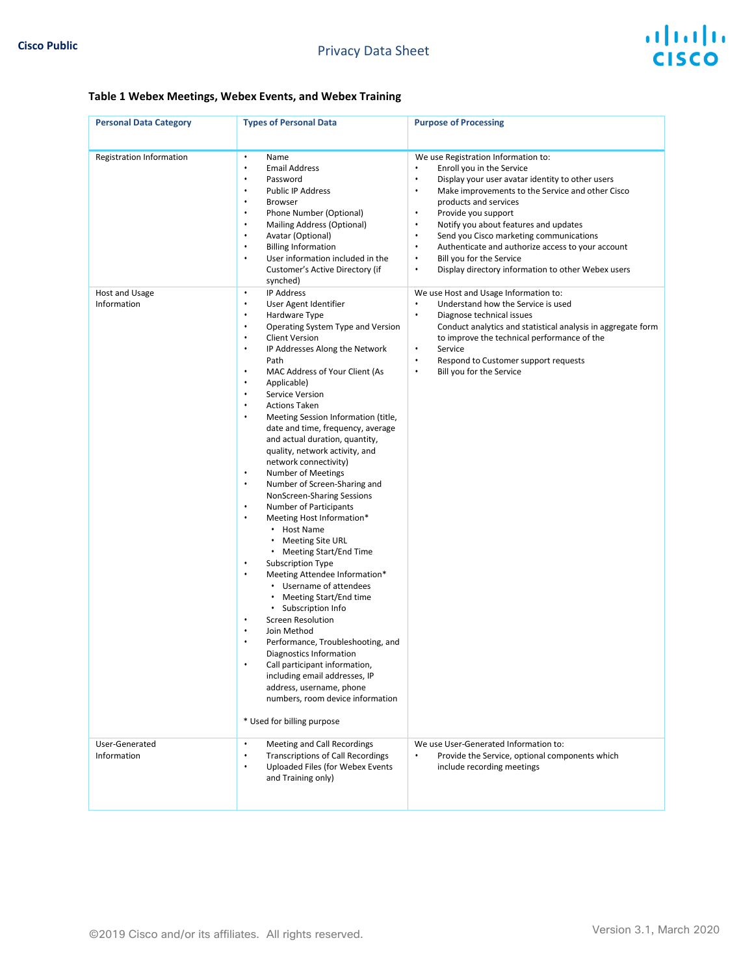#### **Table 1 Webex Meetings, Webex Events, and Webex Training**

| <b>Personal Data Category</b>              | <b>Types of Personal Data</b>                                                                                                                                                                                                                                                                                                                                                                                                                                                                                                                                                                                                                                                                                                                                                                                                                                                                                                                                                                                                                                                                                                                                                                                                                                                                                   | <b>Purpose of Processing</b>                                                                                                                                                                                                                                                                                                                                                                                                                                                                                                                                                                                      |
|--------------------------------------------|-----------------------------------------------------------------------------------------------------------------------------------------------------------------------------------------------------------------------------------------------------------------------------------------------------------------------------------------------------------------------------------------------------------------------------------------------------------------------------------------------------------------------------------------------------------------------------------------------------------------------------------------------------------------------------------------------------------------------------------------------------------------------------------------------------------------------------------------------------------------------------------------------------------------------------------------------------------------------------------------------------------------------------------------------------------------------------------------------------------------------------------------------------------------------------------------------------------------------------------------------------------------------------------------------------------------|-------------------------------------------------------------------------------------------------------------------------------------------------------------------------------------------------------------------------------------------------------------------------------------------------------------------------------------------------------------------------------------------------------------------------------------------------------------------------------------------------------------------------------------------------------------------------------------------------------------------|
| Registration Information<br>Host and Usage | $\bullet$<br>Name<br><b>Email Address</b><br>$\bullet$<br>Password<br>$\bullet$<br><b>Public IP Address</b><br>$\bullet$<br><b>Browser</b><br>٠<br>Phone Number (Optional)<br>$\bullet$<br>$\bullet$<br>Mailing Address (Optional)<br>$\bullet$<br>Avatar (Optional)<br><b>Billing Information</b><br>$\bullet$<br>User information included in the<br>$\bullet$<br>Customer's Active Directory (if<br>synched)<br><b>IP Address</b><br>$\bullet$                                                                                                                                                                                                                                                                                                                                                                                                                                                                                                                                                                                                                                                                                                                                                                                                                                                               | We use Registration Information to:<br>Enroll you in the Service<br>$\bullet$<br>$\bullet$<br>Display your user avatar identity to other users<br>Make improvements to the Service and other Cisco<br>$\bullet$<br>products and services<br>Provide you support<br>$\bullet$<br>Notify you about features and updates<br>$\bullet$<br>Send you Cisco marketing communications<br>$\bullet$<br>Authenticate and authorize access to your account<br>$\bullet$<br>Bill you for the Service<br>$\bullet$<br>Display directory information to other Webex users<br>$\bullet$<br>We use Host and Usage Information to: |
| Information                                | User Agent Identifier<br>$\bullet$<br>Hardware Type<br>$\bullet$<br>$\bullet$<br>Operating System Type and Version<br><b>Client Version</b><br>$\bullet$<br>$\bullet$<br>IP Addresses Along the Network<br>Path<br>$\bullet$<br>MAC Address of Your Client (As<br>$\bullet$<br>Applicable)<br>Service Version<br>$\bullet$<br>$\bullet$<br><b>Actions Taken</b><br>$\bullet$<br>Meeting Session Information (title,<br>date and time, frequency, average<br>and actual duration, quantity,<br>quality, network activity, and<br>network connectivity)<br>$\bullet$<br><b>Number of Meetings</b><br>Number of Screen-Sharing and<br>$\bullet$<br>NonScreen-Sharing Sessions<br>Number of Participants<br>$\bullet$<br>Meeting Host Information*<br>$\bullet$<br>• Host Name<br><b>Meeting Site URL</b><br>$\bullet$<br>• Meeting Start/End Time<br>Subscription Type<br>$\bullet$<br>$\bullet$<br>Meeting Attendee Information*<br>• Username of attendees<br>Meeting Start/End time<br>$\bullet$<br>• Subscription Info<br><b>Screen Resolution</b><br>$\bullet$<br>Join Method<br>Performance, Troubleshooting, and<br>Diagnostics Information<br>Call participant information,<br>including email addresses, IP<br>address, username, phone<br>numbers, room device information<br>* Used for billing purpose | Understand how the Service is used<br>$\bullet$<br>Diagnose technical issues<br>$\bullet$<br>Conduct analytics and statistical analysis in aggregate form<br>to improve the technical performance of the<br>$\bullet$<br>Service<br>$\bullet$<br>Respond to Customer support requests<br>Bill you for the Service<br>$\bullet$                                                                                                                                                                                                                                                                                    |
| User-Generated<br>Information              | Meeting and Call Recordings<br>$\bullet$<br><b>Transcriptions of Call Recordings</b><br>$\bullet$<br>Uploaded Files (for Webex Events<br>٠<br>and Training only)                                                                                                                                                                                                                                                                                                                                                                                                                                                                                                                                                                                                                                                                                                                                                                                                                                                                                                                                                                                                                                                                                                                                                | We use User-Generated Information to:<br>Provide the Service, optional components which<br>$\bullet$<br>include recording meetings                                                                                                                                                                                                                                                                                                                                                                                                                                                                                |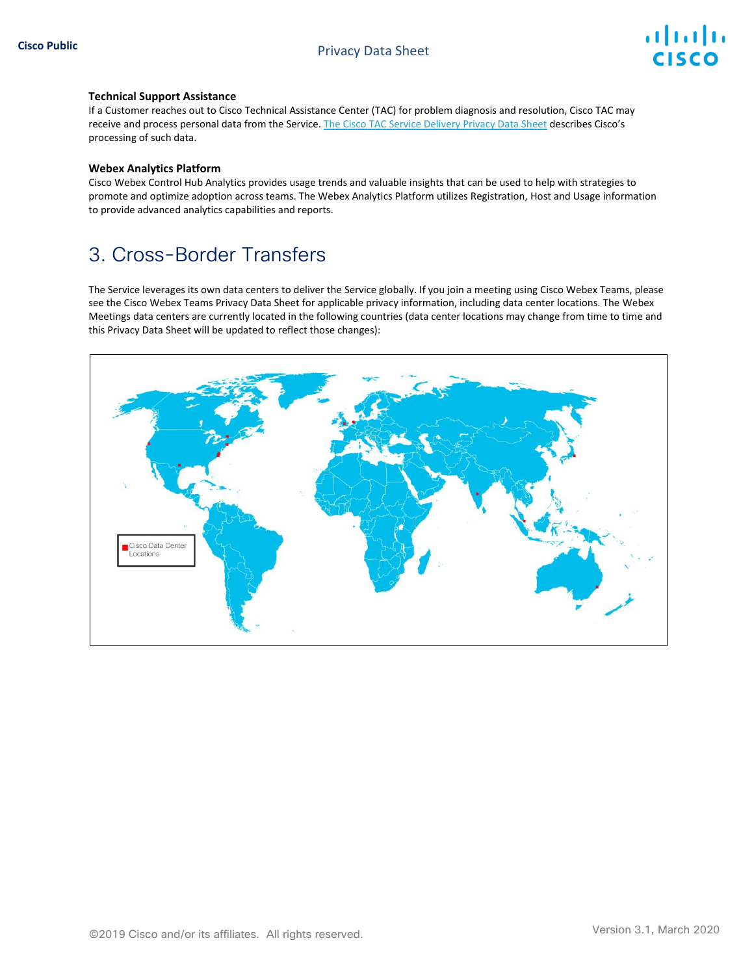#### **Technical Support Assistance**

If a Customer reaches out to Cisco Technical Assistance Center (TAC) for problem diagnosis and resolution, Cisco TAC may receive and process personal data from the Service. [The Cisco TAC Service Delivery Privacy Data Sheet](https://www.cisco.com/c/dam/en_us/about/doing_business/trust-center/docs/cisco-tac-delivery-services-privacy-data-sheet.pdf) describes Cisco's processing of such data.

#### **Webex Analytics Platform**

Cisco Webex Control Hub Analytics provides usage trends and valuable insights that can be used to help with strategies to promote and optimize adoption across teams. The Webex Analytics Platform utilizes Registration, Host and Usage information to provide advanced analytics capabilities and reports.

## 3. Cross-Border Transfers

The Service leverages its own data centers to deliver the Service globally. If you join a meeting using Cisco Webex Teams, please see the Cisco Webex Teams Privacy Data Sheet for applicable privacy information, including data center locations. The Webex Meetings data centers are currently located in the following countries (data center locations may change from time to time and this Privacy Data Sheet will be updated to reflect those changes):

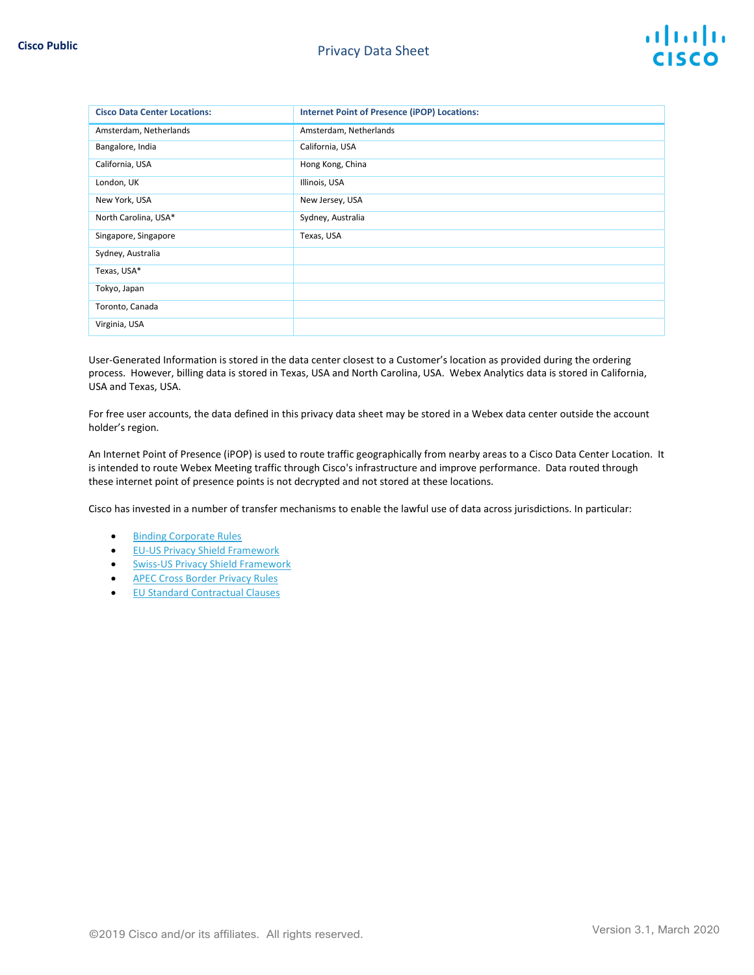| <b>Cisco Data Center Locations:</b> | <b>Internet Point of Presence (iPOP) Locations:</b> |
|-------------------------------------|-----------------------------------------------------|
| Amsterdam, Netherlands              | Amsterdam, Netherlands                              |
| Bangalore, India                    | California, USA                                     |
| California, USA                     | Hong Kong, China                                    |
| London, UK                          | Illinois, USA                                       |
| New York, USA                       | New Jersey, USA                                     |
| North Carolina, USA*                | Sydney, Australia                                   |
| Singapore, Singapore                | Texas, USA                                          |
| Sydney, Australia                   |                                                     |
| Texas, USA*                         |                                                     |
| Tokyo, Japan                        |                                                     |
| Toronto, Canada                     |                                                     |
| Virginia, USA                       |                                                     |

User-Generated Information is stored in the data center closest to a Customer's location as provided during the ordering process. However, billing data is stored in Texas, USA and North Carolina, USA. Webex Analytics data is stored in California, USA and Texas, USA.

For free user accounts, the data defined in this privacy data sheet may be stored in a Webex data center outside the account holder's region.

An Internet Point of Presence (iPOP) is used to route traffic geographically from nearby areas to a Cisco Data Center Location. It is intended to route Webex Meeting traffic through Cisco's infrastructure and improve performance. Data routed through these internet point of presence points is not decrypted and not stored at these locations.

Cisco has invested in a number of transfer mechanisms to enable the lawful use of data across jurisdictions. In particular:

- [Binding Corporate Rules](https://ec.europa.eu/newsroom/article29/item-detail.cfm?item_id=613841)
- [EU-US Privacy Shield Framework](https://www.privacyshield.gov/participant?id=a2zt0000000GnJ2AAK&status=Active)
- [Swiss-US Privacy Shield Framework](https://www.privacyshield.gov/participant?id=a2zt0000000GnJ2AAK&status=Active)
- [APEC Cross Border Privacy Rules](http://www.cbprs.org/)
- [EU Standard Contractual Clauses](https://ec.europa.eu/info/law/law-topic/data-protection/data-transfers-outside-eu/model-contracts-transfer-personal-data-third-countries_en)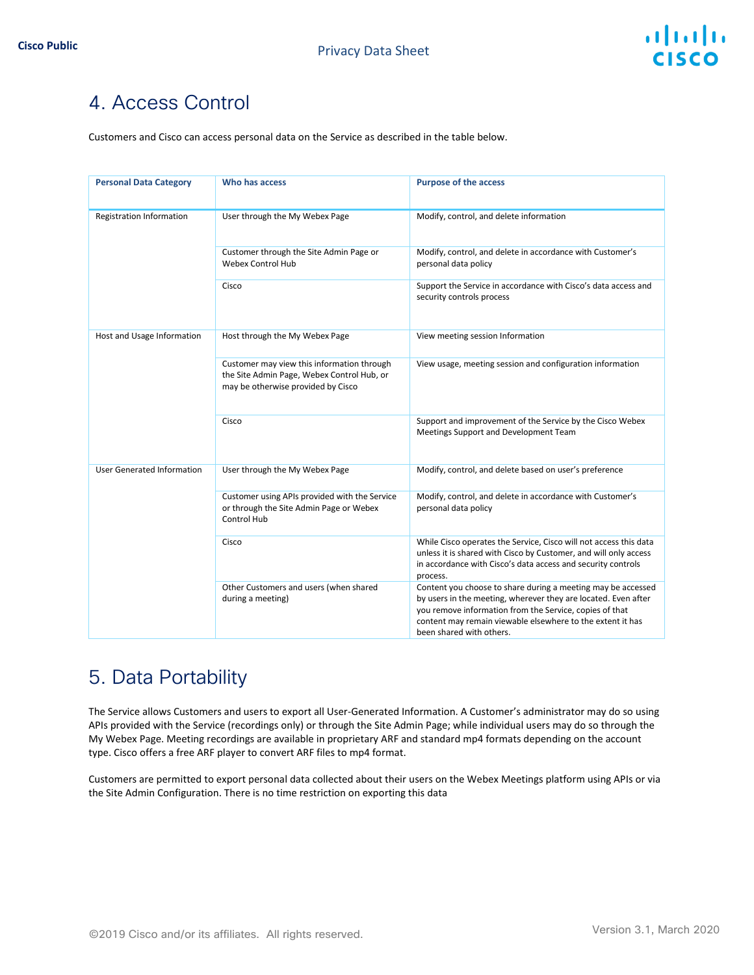# 4. Access Control

Customers and Cisco can access personal data on the Service as described in the table below.

| <b>Personal Data Category</b>     | Who has access                                                                                                                 | <b>Purpose of the access</b>                                                                                                                                                                                                                                                        |
|-----------------------------------|--------------------------------------------------------------------------------------------------------------------------------|-------------------------------------------------------------------------------------------------------------------------------------------------------------------------------------------------------------------------------------------------------------------------------------|
| Registration Information          | User through the My Webex Page                                                                                                 | Modify, control, and delete information                                                                                                                                                                                                                                             |
|                                   | Customer through the Site Admin Page or<br><b>Webex Control Hub</b>                                                            | Modify, control, and delete in accordance with Customer's<br>personal data policy                                                                                                                                                                                                   |
|                                   | Cisco                                                                                                                          | Support the Service in accordance with Cisco's data access and<br>security controls process                                                                                                                                                                                         |
| Host and Usage Information        | Host through the My Webex Page                                                                                                 | View meeting session Information                                                                                                                                                                                                                                                    |
|                                   | Customer may view this information through<br>the Site Admin Page, Webex Control Hub, or<br>may be otherwise provided by Cisco | View usage, meeting session and configuration information                                                                                                                                                                                                                           |
|                                   | Cisco                                                                                                                          | Support and improvement of the Service by the Cisco Webex<br>Meetings Support and Development Team                                                                                                                                                                                  |
| <b>User Generated Information</b> | User through the My Webex Page                                                                                                 | Modify, control, and delete based on user's preference                                                                                                                                                                                                                              |
|                                   | Customer using APIs provided with the Service<br>or through the Site Admin Page or Webex<br>Control Hub                        | Modify, control, and delete in accordance with Customer's<br>personal data policy                                                                                                                                                                                                   |
|                                   | Cisco                                                                                                                          | While Cisco operates the Service, Cisco will not access this data<br>unless it is shared with Cisco by Customer, and will only access<br>in accordance with Cisco's data access and security controls<br>process.                                                                   |
|                                   | Other Customers and users (when shared<br>during a meeting)                                                                    | Content you choose to share during a meeting may be accessed<br>by users in the meeting, wherever they are located. Even after<br>you remove information from the Service, copies of that<br>content may remain viewable elsewhere to the extent it has<br>been shared with others. |

# 5. Data Portability

The Service allows Customers and users to export all User-Generated Information. A Customer's administrator may do so using APIs provided with the Service (recordings only) or through the Site Admin Page; while individual users may do so through the My Webex Page. Meeting recordings are available in proprietary ARF and standard mp4 formats depending on the account type. Cisco offers a free ARF player to convert ARF files to mp4 format.

Customers are permitted to export personal data collected about their users on the Webex Meetings platform using APIs or via the Site Admin Configuration. There is no time restriction on exporting this data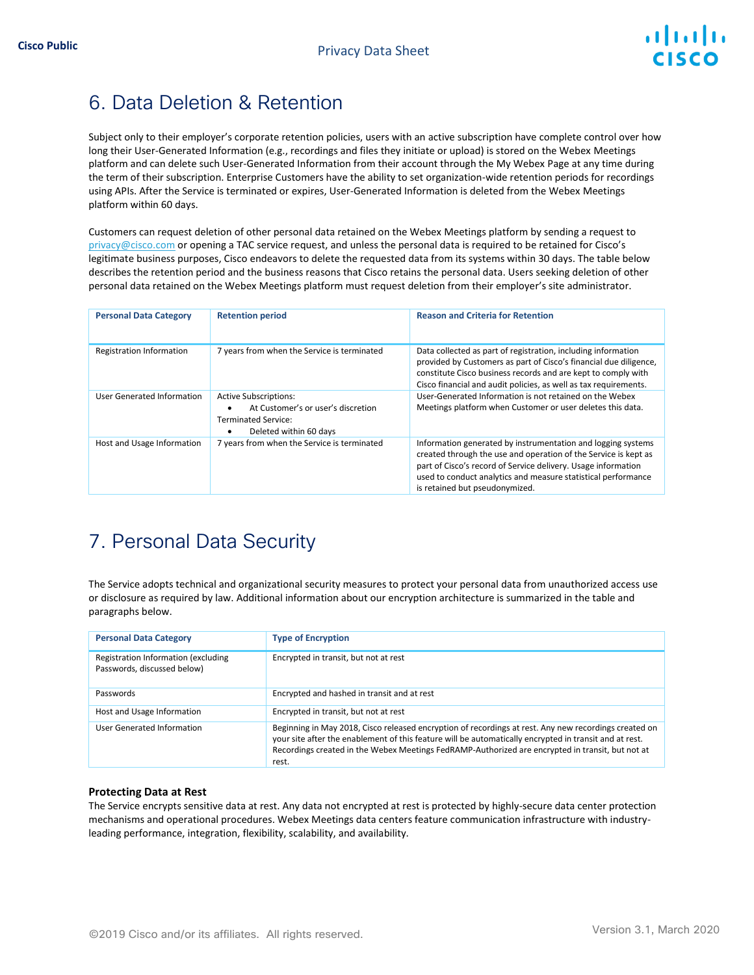

# 6. Data Deletion & Retention

Subject only to their employer's corporate retention policies, users with an active subscription have complete control over how long their User-Generated Information (e.g., recordings and files they initiate or upload) is stored on the Webex Meetings platform and can delete such User-Generated Information from their account through the My Webex Page at any time during the term of their subscription. Enterprise Customers have the ability to set organization-wide retention periods for recordings using APIs. After the Service is terminated or expires, User-Generated Information is deleted from the Webex Meetings platform within 60 days.

Customers can request deletion of other personal data retained on the Webex Meetings platform by sending a request to [privacy@cisco.com](mailto:privacy@cisco.com) or opening a TAC service request, and unless the personal data is required to be retained for Cisco's legitimate business purposes, Cisco endeavors to delete the requested data from its systems within 30 days. The table below describes the retention period and the business reasons that Cisco retains the personal data. Users seeking deletion of other personal data retained on the Webex Meetings platform must request deletion from their employer's site administrator.

| <b>Personal Data Category</b>   | <b>Retention period</b>                                                                                                    | <b>Reason and Criteria for Retention</b>                                                                                                                                                                                                                                                            |
|---------------------------------|----------------------------------------------------------------------------------------------------------------------------|-----------------------------------------------------------------------------------------------------------------------------------------------------------------------------------------------------------------------------------------------------------------------------------------------------|
| <b>Registration Information</b> | 7 years from when the Service is terminated                                                                                | Data collected as part of registration, including information<br>provided by Customers as part of Cisco's financial due diligence,<br>constitute Cisco business records and are kept to comply with<br>Cisco financial and audit policies, as well as tax requirements.                             |
| User Generated Information      | <b>Active Subscriptions:</b><br>At Customer's or user's discretion<br><b>Terminated Service:</b><br>Deleted within 60 days | User-Generated Information is not retained on the Webex<br>Meetings platform when Customer or user deletes this data.                                                                                                                                                                               |
| Host and Usage Information      | 7 years from when the Service is terminated                                                                                | Information generated by instrumentation and logging systems<br>created through the use and operation of the Service is kept as<br>part of Cisco's record of Service delivery. Usage information<br>used to conduct analytics and measure statistical performance<br>is retained but pseudonymized. |

# 7. Personal Data Security

The Service adopts technical and organizational security measures to protect your personal data from unauthorized access use or disclosure as required by law. Additional information about our encryption architecture is summarized in the table and paragraphs below.

| <b>Personal Data Category</b>                                      | <b>Type of Encryption</b>                                                                                                                                                                                                                                                                                                    |
|--------------------------------------------------------------------|------------------------------------------------------------------------------------------------------------------------------------------------------------------------------------------------------------------------------------------------------------------------------------------------------------------------------|
| Registration Information (excluding<br>Passwords, discussed below) | Encrypted in transit, but not at rest                                                                                                                                                                                                                                                                                        |
| Passwords                                                          | Encrypted and hashed in transit and at rest                                                                                                                                                                                                                                                                                  |
| Host and Usage Information                                         | Encrypted in transit, but not at rest                                                                                                                                                                                                                                                                                        |
| User Generated Information                                         | Beginning in May 2018, Cisco released encryption of recordings at rest. Any new recordings created on<br>your site after the enablement of this feature will be automatically encrypted in transit and at rest.<br>Recordings created in the Webex Meetings FedRAMP-Authorized are encrypted in transit, but not at<br>rest. |

#### **Protecting Data at Rest**

The Service encrypts sensitive data at rest. Any data not encrypted at rest is protected by highly-secure data center protection mechanisms and operational procedures. Webex Meetings data centers feature communication infrastructure with industryleading performance, integration, flexibility, scalability, and availability.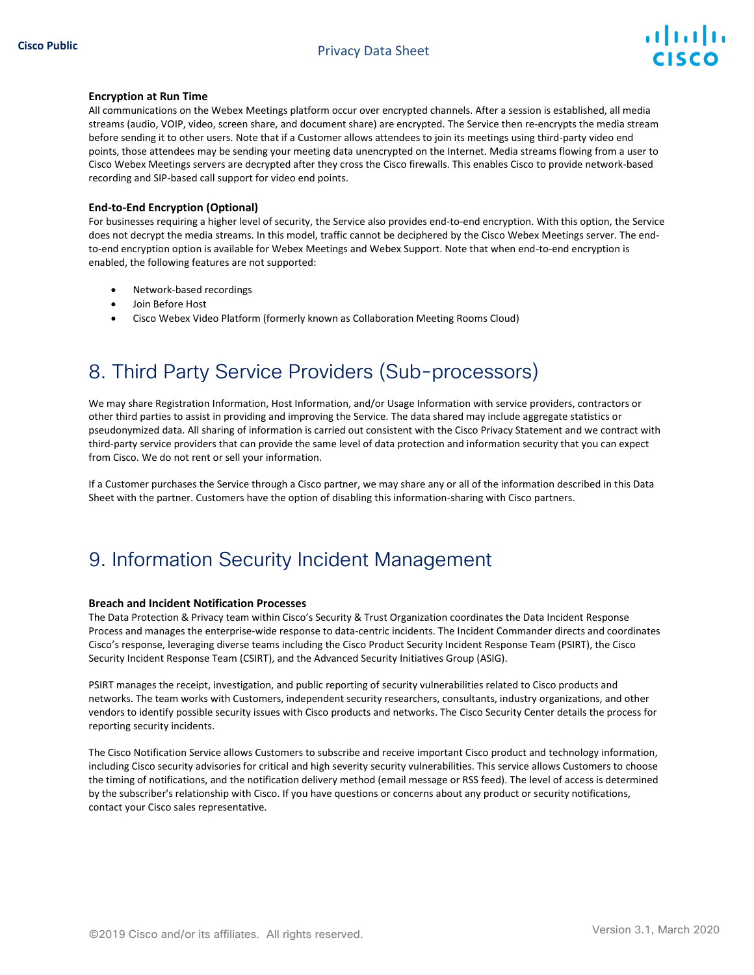

#### **Encryption at Run Time**

All communications on the Webex Meetings platform occur over encrypted channels. After a session is established, all media streams (audio, VOIP, video, screen share, and document share) are encrypted. The Service then re-encrypts the media stream before sending it to other users. Note that if a Customer allows attendees to join its meetings using third-party video end points, those attendees may be sending your meeting data unencrypted on the Internet. Media streams flowing from a user to Cisco Webex Meetings servers are decrypted after they cross the Cisco firewalls. This enables Cisco to provide network-based recording and SIP-based call support for video end points.

#### **End-to-End Encryption (Optional)**

For businesses requiring a higher level of security, the Service also provides end-to-end encryption. With this option, the Service does not decrypt the media streams. In this model, traffic cannot be deciphered by the Cisco Webex Meetings server. The endto-end encryption option is available for Webex Meetings and Webex Support. Note that when end-to-end encryption is enabled, the following features are not supported:

- Network-based recordings
- Join Before Host
- Cisco Webex Video Platform (formerly known as Collaboration Meeting Rooms Cloud)

## 8. Third Party Service Providers (Sub-processors)

We may share Registration Information, Host Information, and/or Usage Information with service providers, contractors or other third parties to assist in providing and improving the Service. The data shared may include aggregate statistics or pseudonymized data. All sharing of information is carried out consistent with the Cisco Privacy Statement and we contract with third-party service providers that can provide the same level of data protection and information security that you can expect from Cisco. We do not rent or sell your information.

If a Customer purchases the Service through a Cisco partner, we may share any or all of the information described in this Data Sheet with the partner. Customers have the option of disabling this information-sharing with Cisco partners.

#### 9. Information Security Incident Management

#### **Breach and Incident Notification Processes**

The Data Protection & Privacy team within Cisco's Security & Trust Organization coordinates the Data Incident Response Process and manages the enterprise-wide response to data-centric incidents. The Incident Commander directs and coordinates Cisco's response, leveraging diverse teams including the Cisco Product Security Incident Response Team (PSIRT), the Cisco Security Incident Response Team (CSIRT), and the Advanced Security Initiatives Group (ASIG).

PSIRT manages the receipt, investigation, and public reporting of security vulnerabilities related to Cisco products and networks. The team works with Customers, independent security researchers, consultants, industry organizations, and other vendors to identify possible security issues with Cisco products and networks. Th[e Cisco Security Center](http://tools.cisco.com/security/center/emergency.x?i=56) details the process for reporting security incidents.

The Cisco Notification Service allows Customers to subscribe and receive important Cisco product and technology information, including Cisco security advisories for critical and high severity security vulnerabilities. This service allows Customers to choose the timing of notifications, and the notification delivery method (email message or RSS feed). The level of access is determined by the subscriber's relationship with Cisco. If you have questions or concerns about any product or security notifications, contact your Cisco sales representative.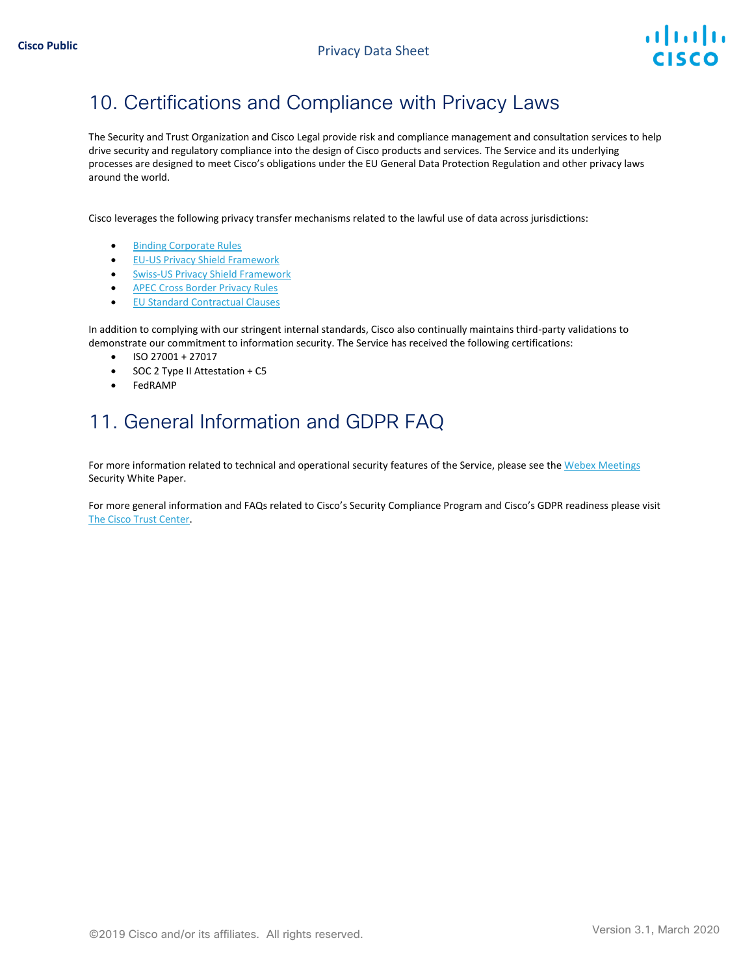# 10. Certifications and Compliance with Privacy Laws

The Security and Trust Organization and Cisco Legal provide risk and compliance management and consultation services to help drive security and regulatory compliance into the design of Cisco products and services. The Service and its underlying processes are designed to meet Cisco's obligations under the EU General Data Protection Regulation and other privacy laws around the world.

Cisco leverages the following privacy transfer mechanisms related to the lawful use of data across jurisdictions:

- [Binding Corporate Rules](https://ec.europa.eu/newsroom/article29/item-detail.cfm?item_id=613841)
- [EU-US Privacy Shield Framework](https://www.privacyshield.gov/participant?id=a2zt0000000GnJ2AAK&status=Active)
- [Swiss-US Privacy Shield Framework](https://www.privacyshield.gov/participant?id=a2zt0000000GnJ2AAK&status=Active)
- [APEC Cross Border Privacy Rules](http://www.cbprs.org/)
- [EU Standard Contractual Clauses](https://ec.europa.eu/info/law/law-topic/data-protection/data-transfers-outside-eu/model-contracts-transfer-personal-data-third-countries_en)

In addition to complying with our stringent internal standards, Cisco also continually maintains third-party validations to demonstrate our commitment to information security. The Service has received the following certifications:

- ISO 27001 + 27017
- SOC 2 Type II Attestation + C5
- FedRAMP

# 11. General Information and GDPR FAQ

For more information related to technical and operational security features of the Service, please see th[e Webex Meetings](https://www.cisco.com/c/dam/en/us/products/collateral/conferencing/webex-meeting-center/white-paper-c11-737588.pdf) [Security White Paper.](https://www.cisco.com/c/dam/en/us/products/collateral/conferencing/webex-meeting-center/white-paper-c11-737588.pdf)

For more general information and FAQs related to Cisco's Security Compliance Program and Cisco's GDPR readiness please visit [The Cisco Trust Center.](https://www.cisco.com/c/en/us/about/trust-center.html)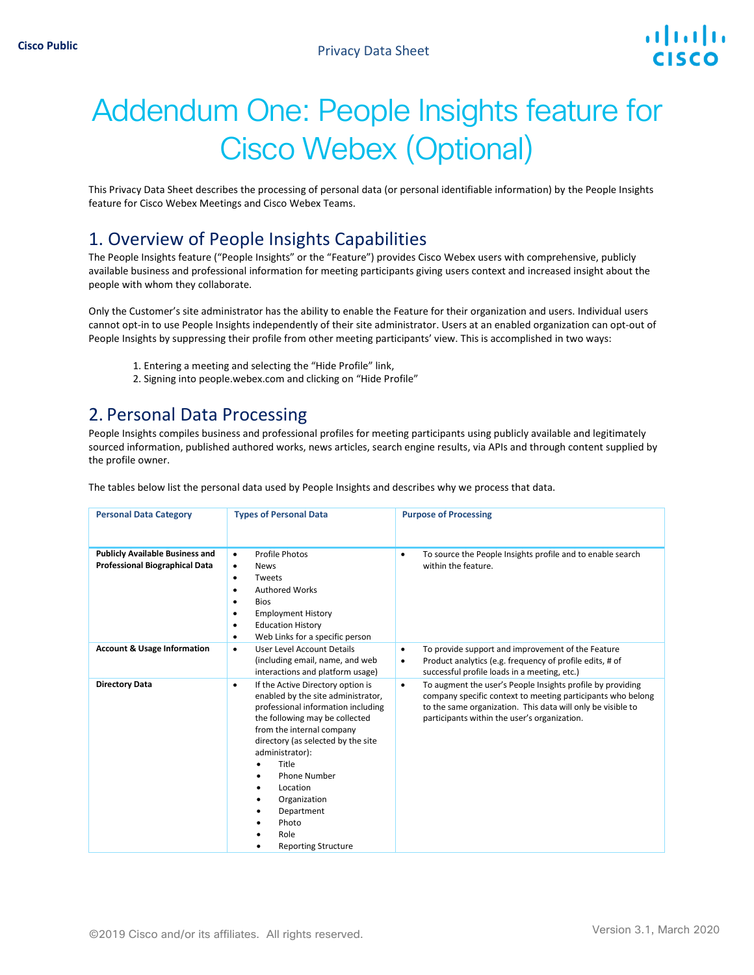# Addendum One: People Insights feature for Cisco Webex (Optional)

This Privacy Data Sheet describes the processing of personal data (or personal identifiable information) by the People Insights feature for Cisco Webex Meetings and Cisco Webex Teams.

#### 1. Overview of People Insights Capabilities

The People Insights feature ("People Insights" or the "Feature") provides Cisco Webex users with comprehensive, publicly available business and professional information for meeting participants giving users context and increased insight about the people with whom they collaborate.

Only the Customer's site administrator has the ability to enable the Feature for their organization and users. Individual users cannot opt-in to use People Insights independently of their site administrator. Users at an enabled organization can opt-out of People Insights by suppressing their profile from other meeting participants' view. This is accomplished in two ways:

- 1. Entering a meeting and selecting the "Hide Profile" link,
- 2. Signing into people.webex.com and clicking on "Hide Profile"

#### 2. Personal Data Processing

People Insights compiles business and professional profiles for meeting participants using publicly available and legitimately sourced information, published authored works, news articles, search engine results, via APIs and through content supplied by the profile owner.

The tables below list the personal data used by People Insights and describes why we process that data.

| <b>Personal Data Category</b>                                                   | <b>Types of Personal Data</b>                                                                                                                                                                                                                                                                                                                                | <b>Purpose of Processing</b>                                                                                                                                                                                                                          |
|---------------------------------------------------------------------------------|--------------------------------------------------------------------------------------------------------------------------------------------------------------------------------------------------------------------------------------------------------------------------------------------------------------------------------------------------------------|-------------------------------------------------------------------------------------------------------------------------------------------------------------------------------------------------------------------------------------------------------|
| <b>Publicly Available Business and</b><br><b>Professional Biographical Data</b> | <b>Profile Photos</b><br>$\bullet$<br><b>News</b><br>$\bullet$<br>Tweets<br>٠<br><b>Authored Works</b><br>$\bullet$<br><b>Bios</b><br>٠<br><b>Employment History</b><br>٠<br><b>Education History</b><br>٠<br>Web Links for a specific person<br>٠                                                                                                           | To source the People Insights profile and to enable search<br>$\bullet$<br>within the feature.                                                                                                                                                        |
| <b>Account &amp; Usage Information</b>                                          | User Level Account Details<br>$\bullet$<br>(including email, name, and web<br>interactions and platform usage)                                                                                                                                                                                                                                               | To provide support and improvement of the Feature<br>$\bullet$<br>Product analytics (e.g. frequency of profile edits, # of<br>$\bullet$<br>successful profile loads in a meeting, etc.)                                                               |
| <b>Directory Data</b>                                                           | If the Active Directory option is<br>٠<br>enabled by the site administrator,<br>professional information including<br>the following may be collected<br>from the internal company<br>directory (as selected by the site<br>administrator):<br>Title<br>Phone Number<br>Location<br>Organization<br>Department<br>Photo<br>Role<br><b>Reporting Structure</b> | To augment the user's People Insights profile by providing<br>$\bullet$<br>company specific context to meeting participants who belong<br>to the same organization. This data will only be visible to<br>participants within the user's organization. |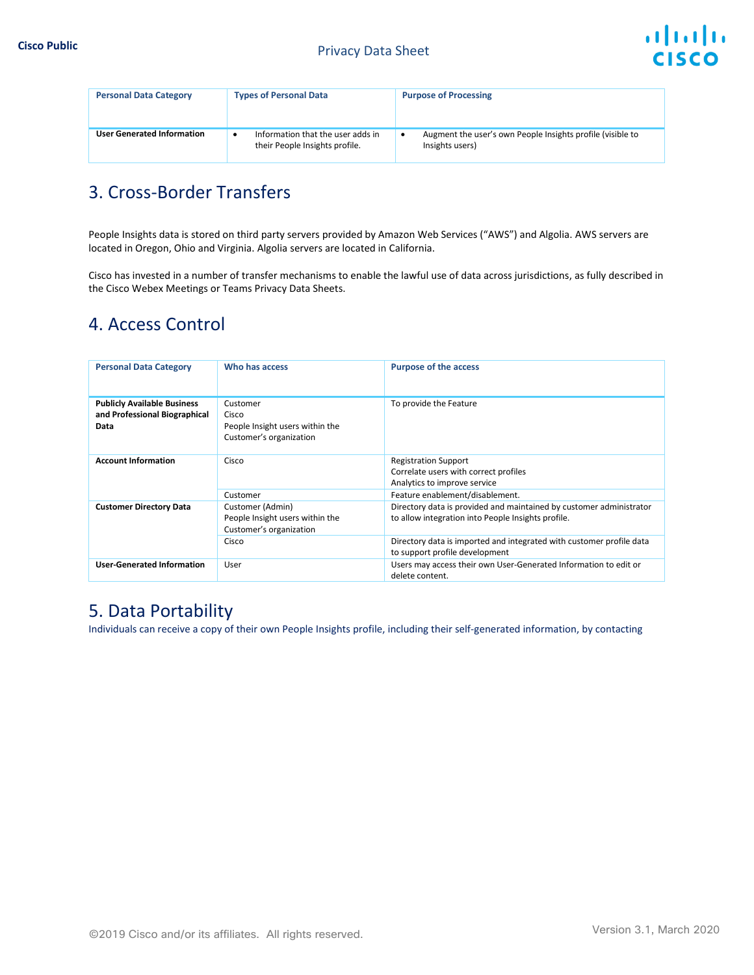

| <b>Personal Data Category</b>     | <b>Types of Personal Data</b>                                            | <b>Purpose of Processing</b>                                                       |
|-----------------------------------|--------------------------------------------------------------------------|------------------------------------------------------------------------------------|
| <b>User Generated Information</b> | Information that the user adds in<br>٠<br>their People Insights profile. | Augment the user's own People Insights profile (visible to<br>٠<br>Insights users) |

### 3. Cross-Border Transfers

People Insights data is stored on third party servers provided by Amazon Web Services ("AWS") and Algolia. AWS servers are located in Oregon, Ohio and Virginia. Algolia servers are located in California.

Cisco has invested in a number of transfer mechanisms to enable the lawful use of data across jurisdictions, as fully described in the Cisco Webex Meetings or Teams Privacy Data Sheets.

### 4. Access Control

| <b>Personal Data Category</b>                                               | Who has access                                                                          | <b>Purpose of the access</b>                                                                                                                                                                                                        |
|-----------------------------------------------------------------------------|-----------------------------------------------------------------------------------------|-------------------------------------------------------------------------------------------------------------------------------------------------------------------------------------------------------------------------------------|
| <b>Publicly Available Business</b><br>and Professional Biographical<br>Data | Customer<br>Cisco<br>People Insight users within the<br>Customer's organization         | To provide the Feature                                                                                                                                                                                                              |
| <b>Account Information</b>                                                  | Cisco<br>Customer                                                                       | <b>Registration Support</b><br>Correlate users with correct profiles<br>Analytics to improve service<br>Feature enablement/disablement.                                                                                             |
| <b>Customer Directory Data</b>                                              | Customer (Admin)<br>People Insight users within the<br>Customer's organization<br>Cisco | Directory data is provided and maintained by customer administrator<br>to allow integration into People Insights profile.<br>Directory data is imported and integrated with customer profile data<br>to support profile development |
| <b>User-Generated Information</b>                                           | User                                                                                    | Users may access their own User-Generated Information to edit or<br>delete content.                                                                                                                                                 |

#### 5. Data Portability

Individuals can receive a copy of their own People Insights profile, including their self-generated information, by contacting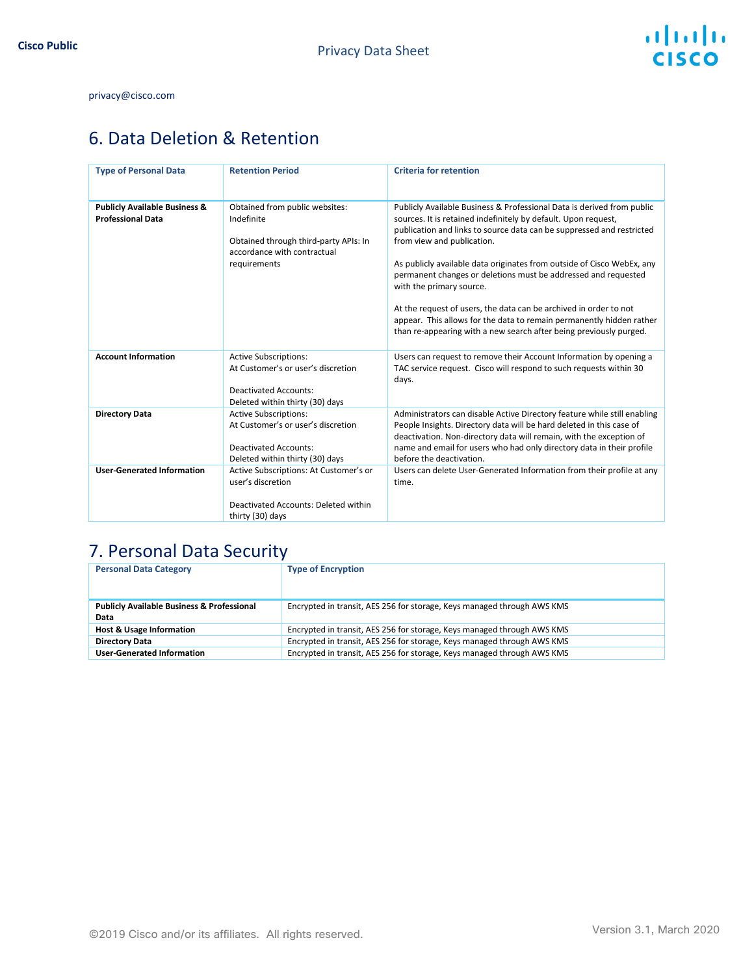#### privacy@cisco.com

## 6. Data Deletion & Retention

| <b>Type of Personal Data</b>                                         | <b>Retention Period</b>                                                                                                               | <b>Criteria for retention</b>                                                                                                                                                                                                                                                                                                                                                                                                                                                                                                                                                                                                              |
|----------------------------------------------------------------------|---------------------------------------------------------------------------------------------------------------------------------------|--------------------------------------------------------------------------------------------------------------------------------------------------------------------------------------------------------------------------------------------------------------------------------------------------------------------------------------------------------------------------------------------------------------------------------------------------------------------------------------------------------------------------------------------------------------------------------------------------------------------------------------------|
| <b>Publicly Available Business &amp;</b><br><b>Professional Data</b> | Obtained from public websites:<br>Indefinite<br>Obtained through third-party APIs: In<br>accordance with contractual<br>requirements  | Publicly Available Business & Professional Data is derived from public<br>sources. It is retained indefinitely by default. Upon request,<br>publication and links to source data can be suppressed and restricted<br>from view and publication.<br>As publicly available data originates from outside of Cisco WebEx, any<br>permanent changes or deletions must be addressed and requested<br>with the primary source.<br>At the request of users, the data can be archived in order to not<br>appear. This allows for the data to remain permanently hidden rather<br>than re-appearing with a new search after being previously purged. |
| <b>Account Information</b>                                           | <b>Active Subscriptions:</b><br>At Customer's or user's discretion<br><b>Deactivated Accounts:</b><br>Deleted within thirty (30) days | Users can request to remove their Account Information by opening a<br>TAC service request. Cisco will respond to such requests within 30<br>days.                                                                                                                                                                                                                                                                                                                                                                                                                                                                                          |
| <b>Directory Data</b>                                                | <b>Active Subscriptions:</b><br>At Customer's or user's discretion<br><b>Deactivated Accounts:</b><br>Deleted within thirty (30) days | Administrators can disable Active Directory feature while still enabling<br>People Insights. Directory data will be hard deleted in this case of<br>deactivation. Non-directory data will remain, with the exception of<br>name and email for users who had only directory data in their profile<br>before the deactivation.                                                                                                                                                                                                                                                                                                               |
| <b>User-Generated Information</b>                                    | Active Subscriptions: At Customer's or<br>user's discretion<br>Deactivated Accounts: Deleted within<br>thirty (30) days               | Users can delete User-Generated Information from their profile at any<br>time.                                                                                                                                                                                                                                                                                                                                                                                                                                                                                                                                                             |

## 7. Personal Data Security

| <b>Personal Data Category</b>                         | <b>Type of Encryption</b>                                               |
|-------------------------------------------------------|-------------------------------------------------------------------------|
|                                                       |                                                                         |
| <b>Publicly Available Business &amp; Professional</b> | Encrypted in transit, AES 256 for storage, Keys managed through AWS KMS |
| Data                                                  |                                                                         |
| <b>Host &amp; Usage Information</b>                   | Encrypted in transit, AES 256 for storage, Keys managed through AWS KMS |
| <b>Directory Data</b>                                 | Encrypted in transit, AES 256 for storage, Keys managed through AWS KMS |
| <b>User-Generated Information</b>                     | Encrypted in transit, AES 256 for storage, Keys managed through AWS KMS |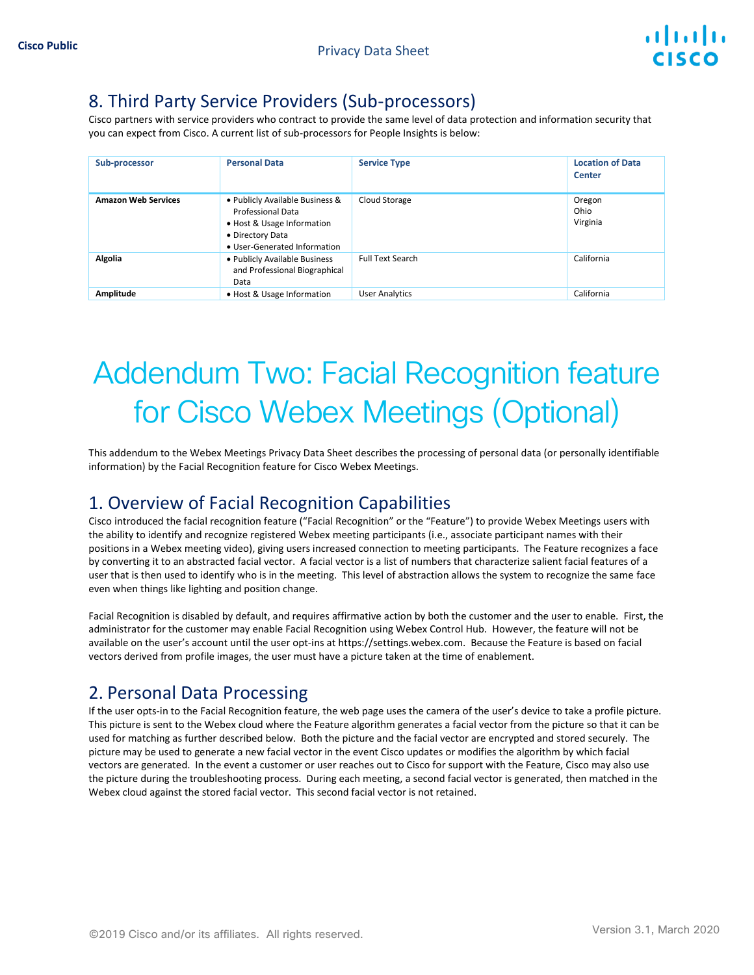#### 8. Third Party Service Providers (Sub-processors)

Cisco partners with service providers who contract to provide the same level of data protection and information security that you can expect from Cisco. A current list of sub-processors for People Insights is below:

| Sub-processor              | <b>Personal Data</b>                                                                                                                          | <b>Service Type</b>     | <b>Location of Data</b><br>Center |
|----------------------------|-----------------------------------------------------------------------------------------------------------------------------------------------|-------------------------|-----------------------------------|
| <b>Amazon Web Services</b> | • Publicly Available Business &<br><b>Professional Data</b><br>• Host & Usage Information<br>• Directory Data<br>• User-Generated Information | Cloud Storage           | Oregon<br>Ohio<br>Virginia        |
| Algolia                    | . Publicly Available Business<br>and Professional Biographical<br>Data                                                                        | <b>Full Text Search</b> | California                        |
| Amplitude                  | • Host & Usage Information                                                                                                                    | <b>User Analytics</b>   | California                        |

# Addendum Two: Facial Recognition feature for Cisco Webex Meetings (Optional)

This addendum to the Webex Meetings Privacy Data Sheet describes the processing of personal data (or personally identifiable information) by the Facial Recognition feature for Cisco Webex Meetings.

### 1. Overview of Facial Recognition Capabilities

Cisco introduced the facial recognition feature ("Facial Recognition" or the "Feature") to provide Webex Meetings users with the ability to identify and recognize registered Webex meeting participants (i.e., associate participant names with their positions in a Webex meeting video), giving users increased connection to meeting participants. The Feature recognizes a face by converting it to an abstracted facial vector. A facial vector is a list of numbers that characterize salient facial features of a user that is then used to identify who is in the meeting. This level of abstraction allows the system to recognize the same face even when things like lighting and position change.

Facial Recognition is disabled by default, and requires affirmative action by both the customer and the user to enable. First, the administrator for the customer may enable Facial Recognition using Webex Control Hub. However, the feature will not be available on the user's account until the user opt-ins at https://settings.webex.com. Because the Feature is based on facial vectors derived from profile images, the user must have a picture taken at the time of enablement.

### 2. Personal Data Processing

If the user opts-in to the Facial Recognition feature, the web page uses the camera of the user's device to take a profile picture. This picture is sent to the Webex cloud where the Feature algorithm generates a facial vector from the picture so that it can be used for matching as further described below. Both the picture and the facial vector are encrypted and stored securely. The picture may be used to generate a new facial vector in the event Cisco updates or modifies the algorithm by which facial vectors are generated. In the event a customer or user reaches out to Cisco for support with the Feature, Cisco may also use the picture during the troubleshooting process. During each meeting, a second facial vector is generated, then matched in the Webex cloud against the stored facial vector. This second facial vector is not retained.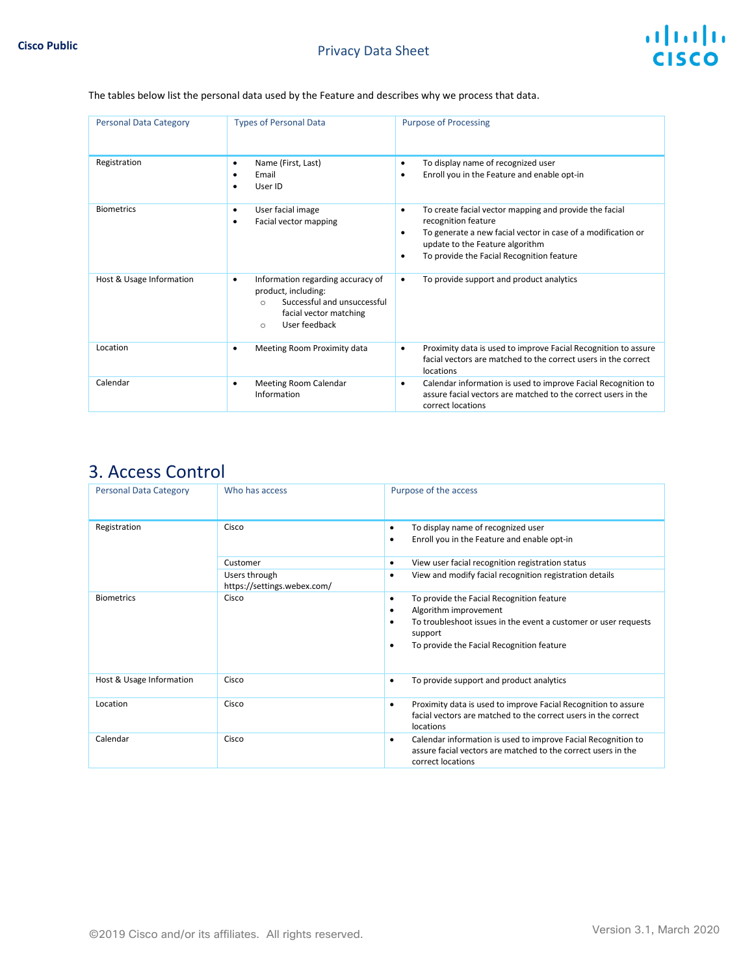#### The tables below list the personal data used by the Feature and describes why we process that data.

| <b>Personal Data Category</b> | <b>Types of Personal Data</b>                                                                                                                                   | <b>Purpose of Processing</b>                                                                                                                                                                                                                         |
|-------------------------------|-----------------------------------------------------------------------------------------------------------------------------------------------------------------|------------------------------------------------------------------------------------------------------------------------------------------------------------------------------------------------------------------------------------------------------|
| Registration                  | Name (First, Last)<br>٠<br>Email<br>User ID<br>٠                                                                                                                | To display name of recognized user<br>$\bullet$<br>Enroll you in the Feature and enable opt-in<br>٠                                                                                                                                                  |
| <b>Biometrics</b>             | User facial image<br>٠<br>Facial vector mapping                                                                                                                 | To create facial vector mapping and provide the facial<br>$\bullet$<br>recognition feature<br>To generate a new facial vector in case of a modification or<br>٠<br>update to the Feature algorithm<br>To provide the Facial Recognition feature<br>٠ |
| Host & Usage Information      | Information regarding accuracy of<br>٠<br>product, including:<br>Successful and unsuccessful<br>$\bigcap$<br>facial vector matching<br>User feedback<br>$\circ$ | To provide support and product analytics<br>$\bullet$                                                                                                                                                                                                |
| Location                      | Meeting Room Proximity data<br>٠                                                                                                                                | Proximity data is used to improve Facial Recognition to assure<br>$\bullet$<br>facial vectors are matched to the correct users in the correct<br>locations                                                                                           |
| Calendar                      | Meeting Room Calendar<br>٠<br>Information                                                                                                                       | Calendar information is used to improve Facial Recognition to<br>٠<br>assure facial vectors are matched to the correct users in the<br>correct locations                                                                                             |

## 3. Access Control

| <b>Personal Data Category</b> | Who has access                               | Purpose of the access                                                                                                                                                                                                     |
|-------------------------------|----------------------------------------------|---------------------------------------------------------------------------------------------------------------------------------------------------------------------------------------------------------------------------|
| Registration                  | Cisco                                        | To display name of recognized user<br>$\bullet$<br>Enroll you in the Feature and enable opt-in<br>٠                                                                                                                       |
|                               | Customer                                     | View user facial recognition registration status<br>٠                                                                                                                                                                     |
|                               | Users through<br>https://settings.webex.com/ | View and modify facial recognition registration details<br>$\bullet$                                                                                                                                                      |
| <b>Biometrics</b>             | Cisco                                        | To provide the Facial Recognition feature<br>$\bullet$<br>Algorithm improvement<br>٠<br>To troubleshoot issues in the event a customer or user requests<br>٠<br>support<br>To provide the Facial Recognition feature<br>٠ |
| Host & Usage Information      | Cisco                                        | To provide support and product analytics<br>٠                                                                                                                                                                             |
| Location                      | Cisco                                        | Proximity data is used to improve Facial Recognition to assure<br>٠<br>facial vectors are matched to the correct users in the correct<br>locations                                                                        |
| Calendar                      | Cisco                                        | Calendar information is used to improve Facial Recognition to<br>٠<br>assure facial vectors are matched to the correct users in the<br>correct locations                                                                  |